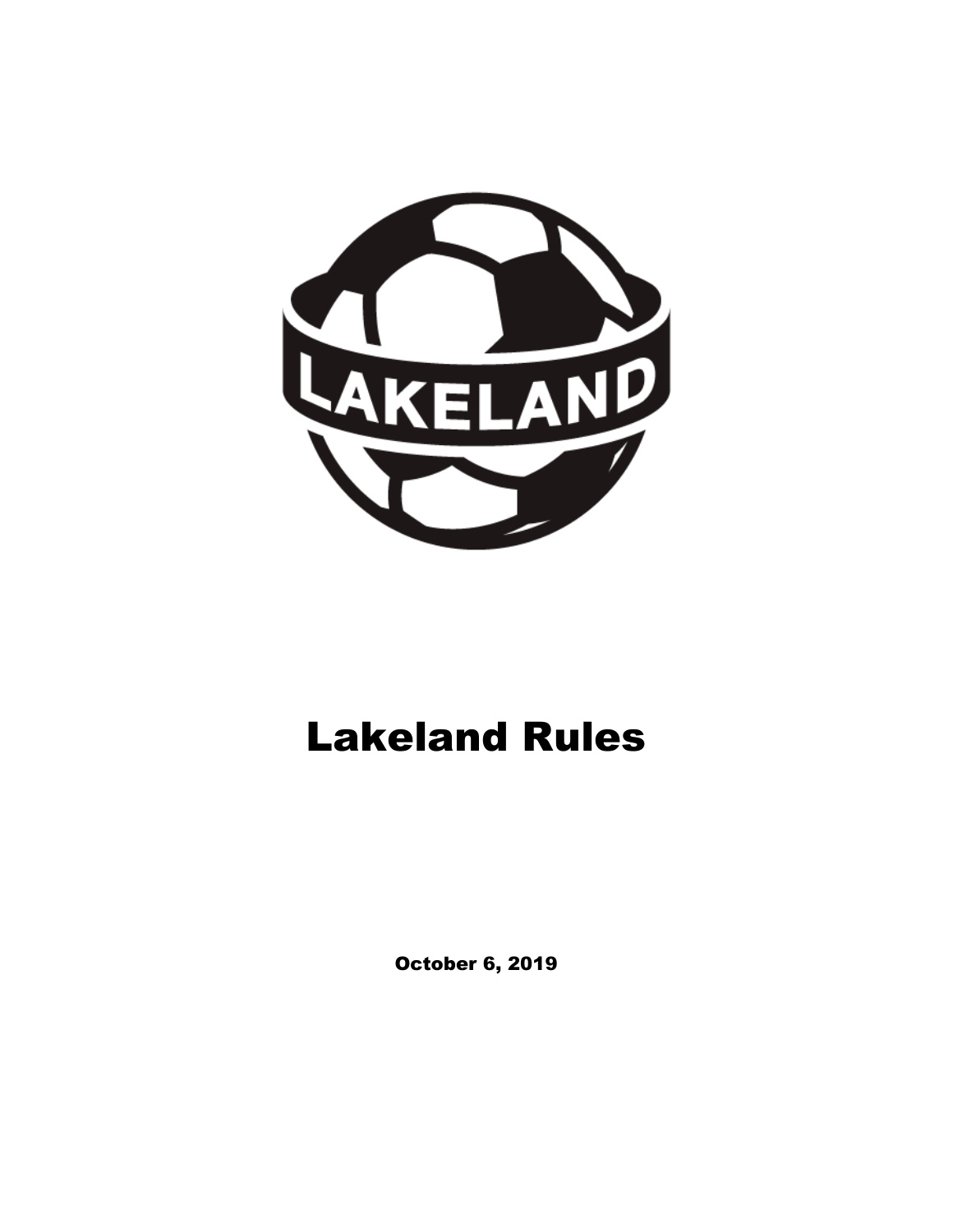

# Lakeland Rules

October 6, 2019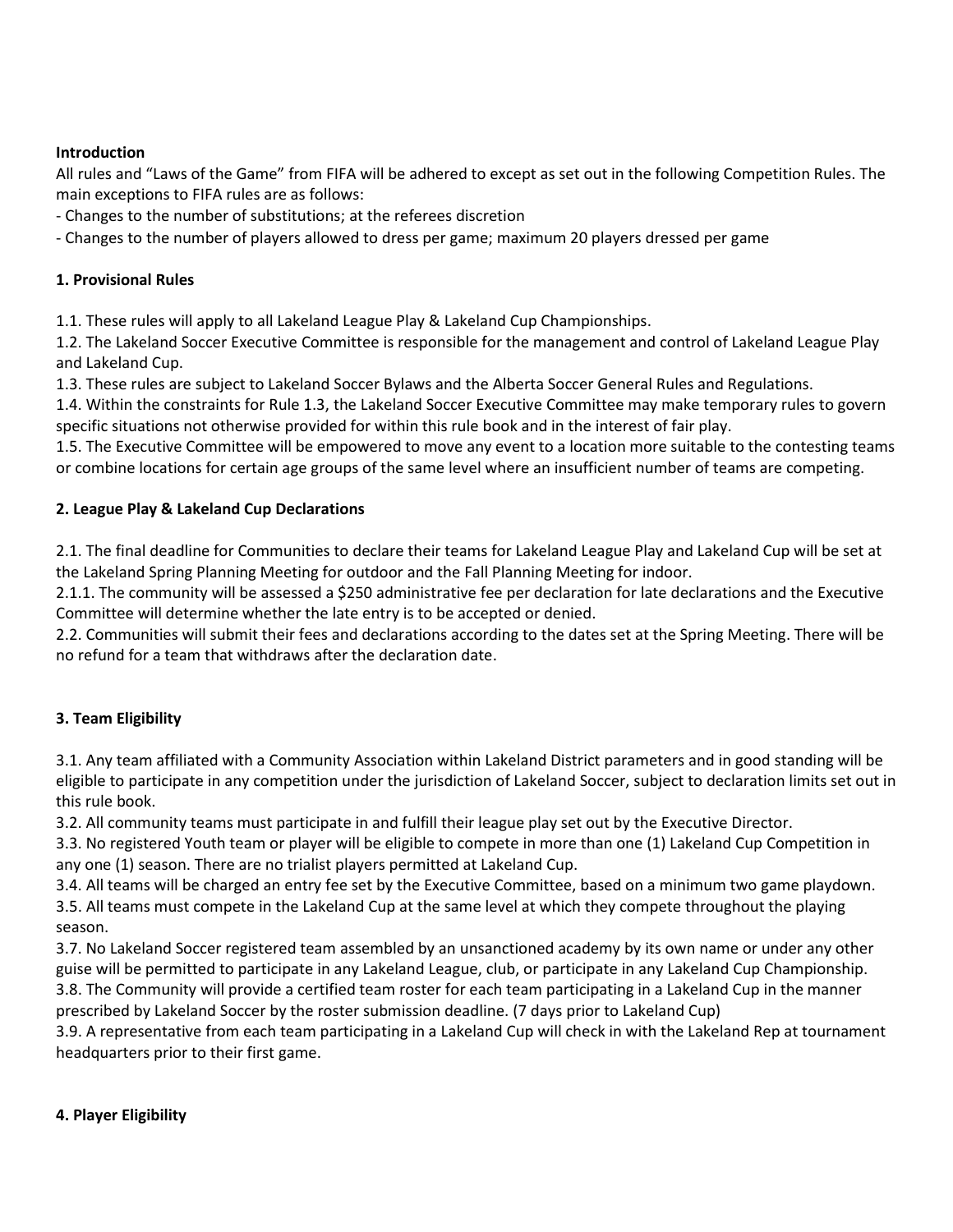#### **Introduction**

All rules and "Laws of the Game" from FIFA will be adhered to except as set out in the following Competition Rules. The main exceptions to FIFA rules are as follows:

- Changes to the number of substitutions; at the referees discretion

- Changes to the number of players allowed to dress per game; maximum 20 players dressed per game

#### **1. Provisional Rules**

1.1. These rules will apply to all Lakeland League Play & Lakeland Cup Championships.

1.2. The Lakeland Soccer Executive Committee is responsible for the management and control of Lakeland League Play and Lakeland Cup.

1.3. These rules are subject to Lakeland Soccer Bylaws and the Alberta Soccer General Rules and Regulations.

1.4. Within the constraints for Rule 1.3, the Lakeland Soccer Executive Committee may make temporary rules to govern specific situations not otherwise provided for within this rule book and in the interest of fair play.

1.5. The Executive Committee will be empowered to move any event to a location more suitable to the contesting teams or combine locations for certain age groups of the same level where an insufficient number of teams are competing.

#### **2. League Play & Lakeland Cup Declarations**

2.1. The final deadline for Communities to declare their teams for Lakeland League Play and Lakeland Cup will be set at the Lakeland Spring Planning Meeting for outdoor and the Fall Planning Meeting for indoor.

2.1.1. The community will be assessed a \$250 administrative fee per declaration for late declarations and the Executive Committee will determine whether the late entry is to be accepted or denied.

2.2. Communities will submit their fees and declarations according to the dates set at the Spring Meeting. There will be no refund for a team that withdraws after the declaration date.

# **3. Team Eligibility**

3.1. Any team affiliated with a Community Association within Lakeland District parameters and in good standing will be eligible to participate in any competition under the jurisdiction of Lakeland Soccer, subject to declaration limits set out in this rule book.

3.2. All community teams must participate in and fulfill their league play set out by the Executive Director.

3.3. No registered Youth team or player will be eligible to compete in more than one (1) Lakeland Cup Competition in any one (1) season. There are no trialist players permitted at Lakeland Cup.

3.4. All teams will be charged an entry fee set by the Executive Committee, based on a minimum two game playdown. 3.5. All teams must compete in the Lakeland Cup at the same level at which they compete throughout the playing season.

3.7. No Lakeland Soccer registered team assembled by an unsanctioned academy by its own name or under any other guise will be permitted to participate in any Lakeland League, club, or participate in any Lakeland Cup Championship. 3.8. The Community will provide a certified team roster for each team participating in a Lakeland Cup in the manner prescribed by Lakeland Soccer by the roster submission deadline. (7 days prior to Lakeland Cup)

3.9. A representative from each team participating in a Lakeland Cup will check in with the Lakeland Rep at tournament headquarters prior to their first game.

#### **4. Player Eligibility**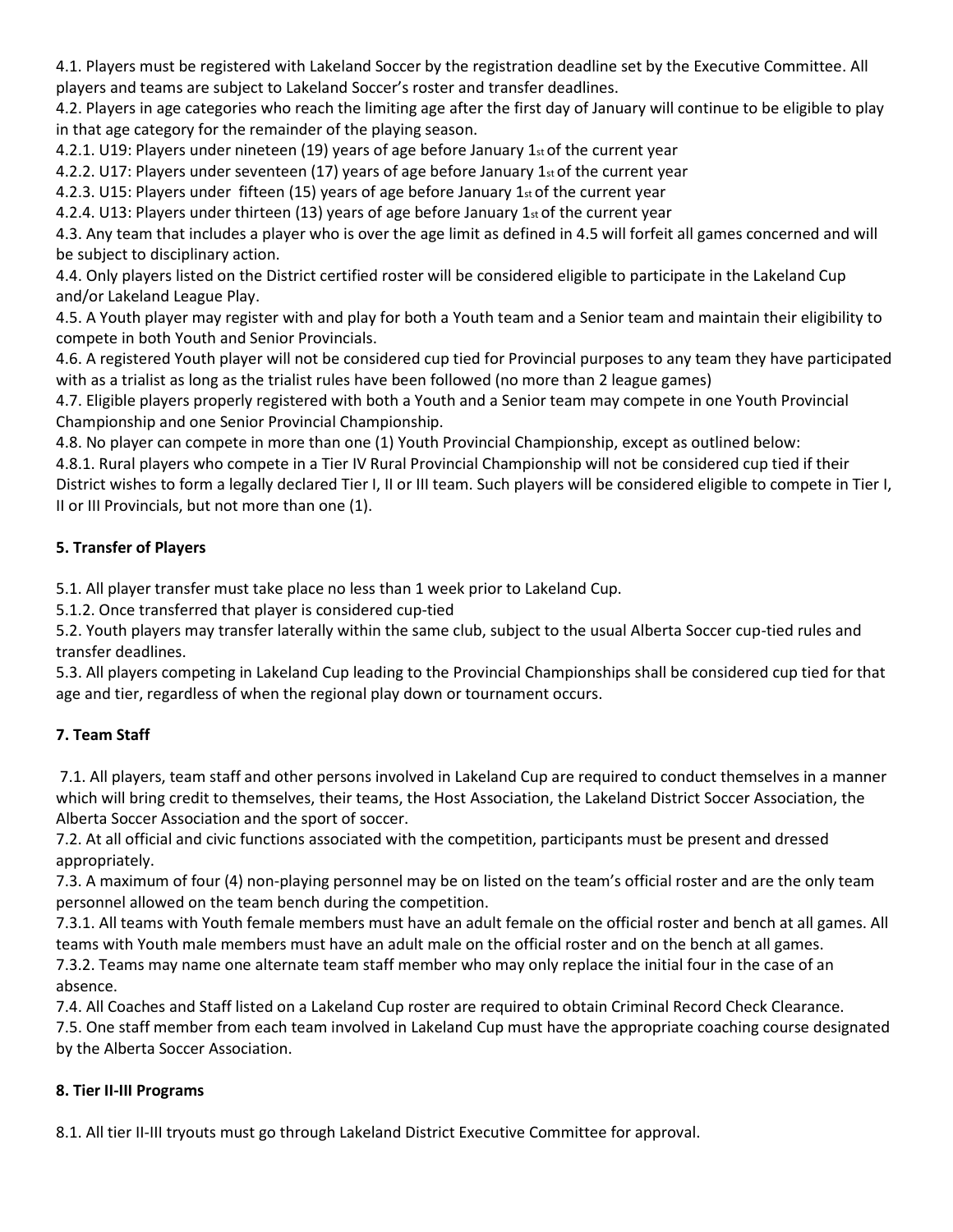4.1. Players must be registered with Lakeland Soccer by the registration deadline set by the Executive Committee. All players and teams are subject to Lakeland Soccer's roster and transfer deadlines.

4.2. Players in age categories who reach the limiting age after the first day of January will continue to be eligible to play in that age category for the remainder of the playing season.

4.2.1. U19: Players under nineteen (19) years of age before January 1st of the current year

4.2.2. U17: Players under seventeen (17) years of age before January 1st of the current year

4.2.3. U15: Players under fifteen (15) years of age before January 1st of the current year

4.2.4. U13: Players under thirteen (13) years of age before January 1 $st$  of the current year

4.3. Any team that includes a player who is over the age limit as defined in 4.5 will forfeit all games concerned and will be subject to disciplinary action.

4.4. Only players listed on the District certified roster will be considered eligible to participate in the Lakeland Cup and/or Lakeland League Play.

4.5. A Youth player may register with and play for both a Youth team and a Senior team and maintain their eligibility to compete in both Youth and Senior Provincials.

4.6. A registered Youth player will not be considered cup tied for Provincial purposes to any team they have participated with as a trialist as long as the trialist rules have been followed (no more than 2 league games)

4.7. Eligible players properly registered with both a Youth and a Senior team may compete in one Youth Provincial Championship and one Senior Provincial Championship.

4.8. No player can compete in more than one (1) Youth Provincial Championship, except as outlined below:

4.8.1. Rural players who compete in a Tier IV Rural Provincial Championship will not be considered cup tied if their District wishes to form a legally declared Tier I, II or III team. Such players will be considered eligible to compete in Tier I, II or III Provincials, but not more than one (1).

#### **5. Transfer of Players**

5.1. All player transfer must take place no less than 1 week prior to Lakeland Cup.

5.1.2. Once transferred that player is considered cup-tied

5.2. Youth players may transfer laterally within the same club, subject to the usual Alberta Soccer cup-tied rules and transfer deadlines.

5.3. All players competing in Lakeland Cup leading to the Provincial Championships shall be considered cup tied for that age and tier, regardless of when the regional play down or tournament occurs.

# **7. Team Staff**

7.1. All players, team staff and other persons involved in Lakeland Cup are required to conduct themselves in a manner which will bring credit to themselves, their teams, the Host Association, the Lakeland District Soccer Association, the Alberta Soccer Association and the sport of soccer.

7.2. At all official and civic functions associated with the competition, participants must be present and dressed appropriately.

7.3. A maximum of four (4) non-playing personnel may be on listed on the team's official roster and are the only team personnel allowed on the team bench during the competition.

7.3.1. All teams with Youth female members must have an adult female on the official roster and bench at all games. All teams with Youth male members must have an adult male on the official roster and on the bench at all games. 7.3.2. Teams may name one alternate team staff member who may only replace the initial four in the case of an

absence.

7.4. All Coaches and Staff listed on a Lakeland Cup roster are required to obtain Criminal Record Check Clearance.

7.5. One staff member from each team involved in Lakeland Cup must have the appropriate coaching course designated by the Alberta Soccer Association.

#### **8. Tier II-III Programs**

8.1. All tier II-III tryouts must go through Lakeland District Executive Committee for approval.